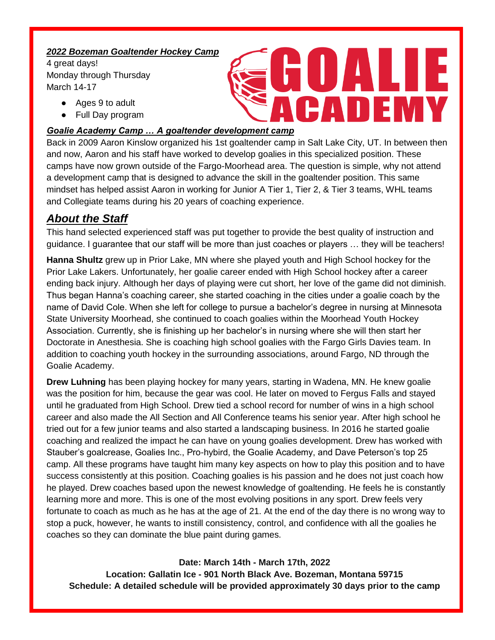#### *2022 Bozeman Goaltender Hockey Camp*

4 great days! Monday through Thursday March 14-17

- Ages 9 to adult
- Full Day program

### *Goalie Academy Camp … A goaltender development camp*

Back in 2009 Aaron Kinslow organized his 1st goaltender camp in Salt Lake City, UT. In between then and now, Aaron and his staff have worked to develop goalies in this specialized position. These camps have now grown outside of the Fargo-Moorhead area. The question is simple, why not attend a development camp that is designed to advance the skill in the goaltender position. This same mindset has helped assist Aaron in working for Junior A Tier 1, Tier 2, & Tier 3 teams, WHL teams and Collegiate teams during his 20 years of coaching experience.

CADEM

# *About the Staff*

This hand selected experienced staff was put together to provide the best quality of instruction and guidance. I guarantee that our staff will be more than just coaches or players … they will be teachers!

**Hanna Shultz** grew up in Prior Lake, MN where she played youth and High School hockey for the Prior Lake Lakers. Unfortunately, her goalie career ended with High School hockey after a career ending back injury. Although her days of playing were cut short, her love of the game did not diminish. Thus began Hanna's coaching career, she started coaching in the cities under a goalie coach by the name of David Cole. When she left for college to pursue a bachelor's degree in nursing at Minnesota State University Moorhead, she continued to coach goalies within the Moorhead Youth Hockey Association. Currently, she is finishing up her bachelor's in nursing where she will then start her Doctorate in Anesthesia. She is coaching high school goalies with the Fargo Girls Davies team. In addition to coaching youth hockey in the surrounding associations, around Fargo, ND through the Goalie Academy.

**Drew Luhning** has been playing hockey for many years, starting in Wadena, MN. He knew goalie was the position for him, because the gear was cool. He later on moved to Fergus Falls and stayed until he graduated from High School. Drew tied a school record for number of wins in a high school career and also made the All Section and All Conference teams his senior year. After high school he tried out for a few junior teams and also started a landscaping business. In 2016 he started goalie coaching and realized the impact he can have on young goalies development. Drew has worked with Stauber's goalcrease, Goalies Inc., Pro-hybird, the Goalie Academy, and Dave Peterson's top 25 camp. All these programs have taught him many key aspects on how to play this position and to have success consistently at this position. Coaching goalies is his passion and he does not just coach how he played. Drew coaches based upon the newest knowledge of goaltending. He feels he is constantly learning more and more. This is one of the most evolving positions in any sport. Drew feels very fortunate to coach as much as he has at the age of 21. At the end of the day there is no wrong way to stop a puck, however, he wants to instill consistency, control, and confidence with all the goalies he coaches so they can dominate the blue paint during games.

## **Date: March 14th - March 17th, 2022**

**Location: Gallatin Ice - 901 North Black Ave. Bozeman, Montana 59715 Schedule: A detailed schedule will be provided approximately 30 days prior to the camp**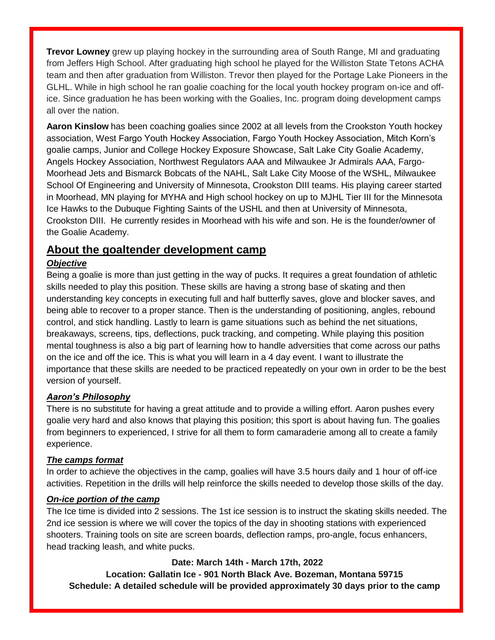**Trevor Lowney** grew up playing hockey in the surrounding area of South Range, MI and graduating from Jeffers High School. After graduating high school he played for the Williston State Tetons ACHA team and then after graduation from Williston. Trevor then played for the Portage Lake Pioneers in the GLHL. While in high school he ran goalie coaching for the local youth hockey program on-ice and office. Since graduation he has been working with the Goalies, Inc. program doing development camps all over the nation.

**Aaron Kinslow** has been coaching goalies since 2002 at all levels from the Crookston Youth hockey association, West Fargo Youth Hockey Association, Fargo Youth Hockey Association, Mitch Korn's goalie camps, Junior and College Hockey Exposure Showcase, Salt Lake City Goalie Academy, Angels Hockey Association, Northwest Regulators AAA and Milwaukee Jr Admirals AAA, Fargo-Moorhead Jets and Bismarck Bobcats of the NAHL, Salt Lake City Moose of the WSHL, Milwaukee School Of Engineering and University of Minnesota, Crookston DIII teams. His playing career started in Moorhead, MN playing for MYHA and High school hockey on up to MJHL Tier III for the Minnesota Ice Hawks to the Dubuque Fighting Saints of the USHL and then at University of Minnesota, Crookston DIII. He currently resides in Moorhead with his wife and son. He is the founder/owner of the Goalie Academy.

## **About the goaltender development camp**

#### *Objective*

Being a goalie is more than just getting in the way of pucks. It requires a great foundation of athletic skills needed to play this position. These skills are having a strong base of skating and then understanding key concepts in executing full and half butterfly saves, glove and blocker saves, and being able to recover to a proper stance. Then is the understanding of positioning, angles, rebound control, and stick handling. Lastly to learn is game situations such as behind the net situations, breakaways, screens, tips, deflections, puck tracking, and competing. While playing this position mental toughness is also a big part of learning how to handle adversities that come across our paths on the ice and off the ice. This is what you will learn in a 4 day event. I want to illustrate the importance that these skills are needed to be practiced repeatedly on your own in order to be the best version of yourself.

## *Aaron's Philosophy*

There is no substitute for having a great attitude and to provide a willing effort. Aaron pushes every goalie very hard and also knows that playing this position; this sport is about having fun. The goalies from beginners to experienced, I strive for all them to form camaraderie among all to create a family experience.

#### *The camps format*

In order to achieve the objectives in the camp, goalies will have 3.5 hours daily and 1 hour of off-ice activities. Repetition in the drills will help reinforce the skills needed to develop those skills of the day.

### *On-ice portion of the camp*

The Ice time is divided into 2 sessions. The 1st ice session is to instruct the skating skills needed. The 2nd ice session is where we will cover the topics of the day in shooting stations with experienced shooters. Training tools on site are screen boards, deflection ramps, pro-angle, focus enhancers, head tracking leash, and white pucks.

## **Date: March 14th - March 17th, 2022**

**Location: Gallatin Ice - 901 North Black Ave. Bozeman, Montana 59715 Schedule: A detailed schedule will be provided approximately 30 days prior to the camp**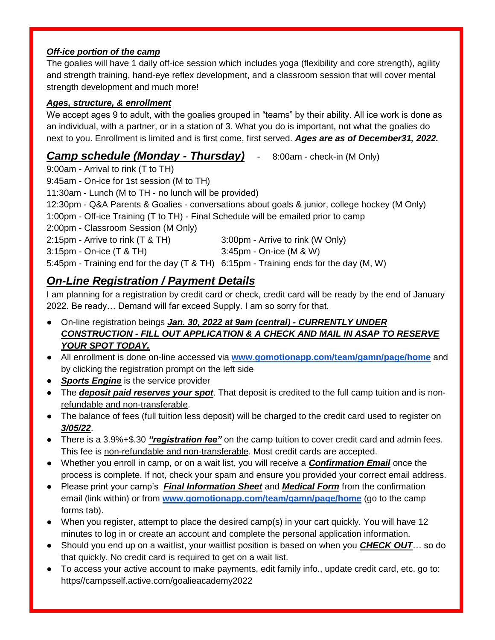## *Off-ice portion of the camp*

The goalies will have 1 daily off-ice session which includes yoga (flexibility and core strength), agility and strength training, hand-eye reflex development, and a classroom session that will cover mental strength development and much more!

## *Ages, structure, & enrollment*

We accept ages 9 to adult, with the goalies grouped in "teams" by their ability. All ice work is done as an individual, with a partner, or in a station of 3. What you do is important, not what the goalies do next to you. Enrollment is limited and is first come, first served. *Ages are as of December31, 2022.* 

## *Camp schedule (Monday - Thursday)* - 8:00am - check-in (M Only)

9:00am - Arrival to rink (T to TH) 9:45am - On-ice for 1st session (M to TH) 11:30am - Lunch (M to TH - no lunch will be provided) 12:30pm - Q&A Parents & Goalies - conversations about goals & junior, college hockey (M Only) 1:00pm - Off-ice Training (T to TH) - Final Schedule will be emailed prior to camp 2:00pm - Classroom Session (M Only) 2:15pm - Arrive to rink (T & TH) 3:00pm - Arrive to rink (W Only) 3:15pm - On-ice (T & TH) 3:45pm - On-ice (M & W) 5:45pm - Training end for the day (T & TH) 6:15pm - Training ends for the day (M, W)

# *On-Line Registration / Payment Details*

I am planning for a registration by credit card or check, credit card will be ready by the end of January 2022. Be ready… Demand will far exceed Supply. I am so sorry for that.

- On-line registration beings *Jan. 30, 2022 at 9am (central) - CURRENTLY UNDER CONSTRUCTION - FILL OUT APPLICATION & A CHECK AND MAIL IN ASAP TO RESERVE YOUR SPOT TODAY.*
- All enrollment is done on-line accessed via **[www.gomotionapp.com/team/gamn/page/home](http://www.gomotionapp.com/team/gamn/page/home)** and by clicking the registration prompt on the left side
- **Sports Engine** is the service provider
- The *deposit paid reserves your spot*. That deposit is credited to the full camp tuition and is nonrefundable and non-transferable.
- The balance of fees (full tuition less deposit) will be charged to the credit card used to register on *3/05/22*.
- There is a 3.9%+\$.30 *"registration fee"* on the camp tuition to cover credit card and admin fees. This fee is non-refundable and non-transferable. Most credit cards are accepted.
- Whether you enroll in camp, or on a wait list, you will receive a *Confirmation Email* once the process is complete. If not, check your spam and ensure you provided your correct email address.
- Please print your camp's *Final Information Sheet* and *Medical Form* from the confirmation email (link within) or from **[www.gomotionapp.com/team/gamn/page/home](http://www.gomotionapp.com/team/gamn/page/home)** (go to the camp forms tab).
- When you register, attempt to place the desired camp(s) in your cart quickly. You will have 12 minutes to log in or create an account and complete the personal application information.
- Should you end up on a waitlist, your waitlist position is based on when you **CHECK OUT**… so do that quickly. No credit card is required to get on a wait list.
- To access your active account to make payments, edit family info., update credit card, etc. go to: https//campsself.active.com/goalieacademy2022